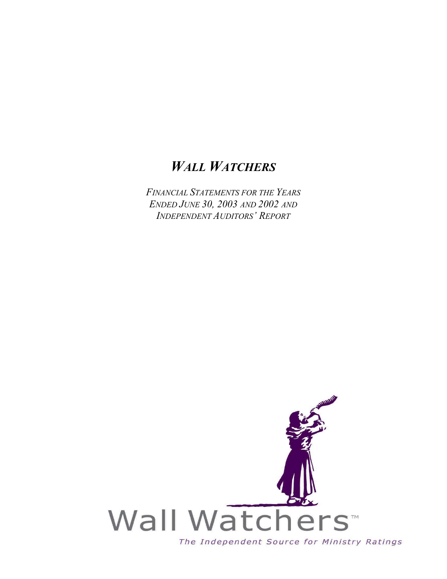# *WALL WATCHERS*

*FINANCIAL STATEMENTS FOR THE YEARS ENDED JUNE 30, 2003 AND 2002 AND INDEPENDENT AUDITORS' REPORT*

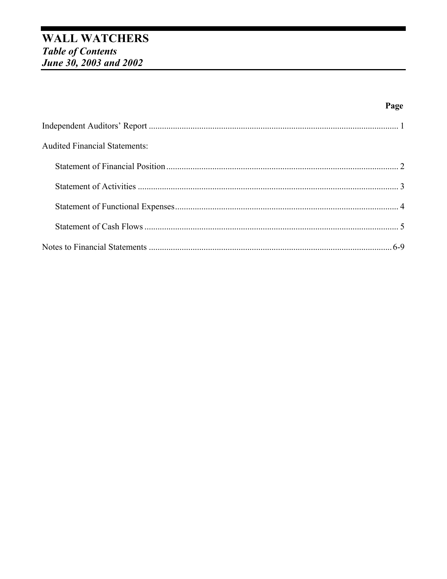# **WALL WATCHERS** Table of Contents<br>June 30, 2003 and 2002

| <b>Audited Financial Statements:</b> |  |
|--------------------------------------|--|
|                                      |  |
|                                      |  |
|                                      |  |
|                                      |  |
|                                      |  |

Page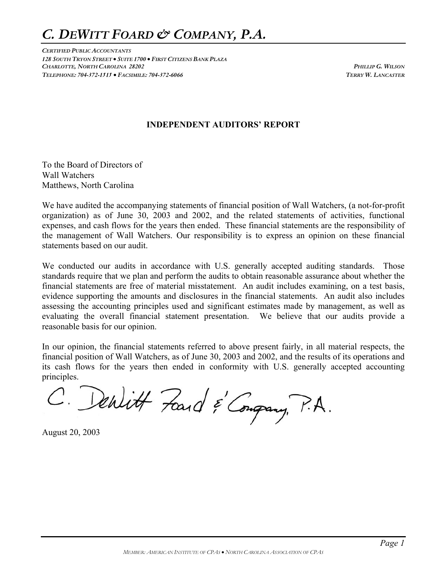# *C. DEWITT FOARD & COMPANY, P.A.*

*CERTIFIED PUBLIC ACCOUNTANTS 128 SOUTH TRYON STREET* • *SUITE 1700* • *FIRST CITIZENS BANK PLAZA CHARLOTTE, NORTH CAROLINA 28202 PHILLIP G. WILSON TELEPHONE: 704-372-1515* • *FACSIMILE: 704-372-6066 TERRY W. LANCASTER*

#### **INDEPENDENT AUDITORS' REPORT**

To the Board of Directors of Wall Watchers Matthews, North Carolina

We have audited the accompanying statements of financial position of Wall Watchers, (a not-for-profit organization) as of June 30, 2003 and 2002, and the related statements of activities, functional expenses, and cash flows for the years then ended. These financial statements are the responsibility of the management of Wall Watchers. Our responsibility is to express an opinion on these financial statements based on our audit.

We conducted our audits in accordance with U.S. generally accepted auditing standards. Those standards require that we plan and perform the audits to obtain reasonable assurance about whether the financial statements are free of material misstatement. An audit includes examining, on a test basis, evidence supporting the amounts and disclosures in the financial statements. An audit also includes assessing the accounting principles used and significant estimates made by management, as well as evaluating the overall financial statement presentation. We believe that our audits provide a reasonable basis for our opinion.

In our opinion, the financial statements referred to above present fairly, in all material respects, the financial position of Wall Watchers, as of June 30, 2003 and 2002, and the results of its operations and its cash flows for the years then ended in conformity with U.S. generally accepted accounting principles.

C. Denlitt Fand & Congrany, P.A.

August 20, 2003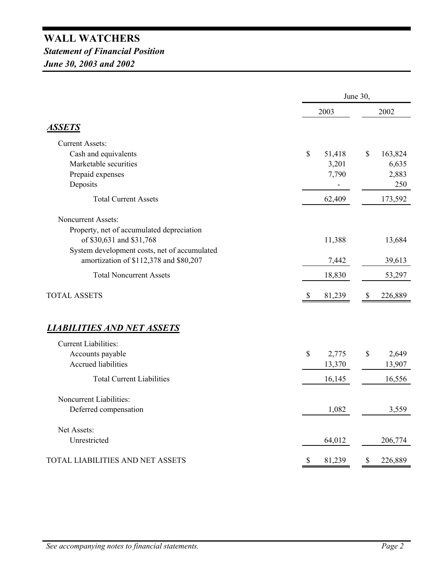# **WALL WATCHERS** *Statement of Financial Position June 30, 2003 and 2002*

|                                              | June 30, |        |      |         |
|----------------------------------------------|----------|--------|------|---------|
|                                              | 2003     |        | 2002 |         |
| <b>ASSETS</b>                                |          |        |      |         |
| <b>Current Assets:</b>                       |          |        |      |         |
| Cash and equivalents                         | \$       | 51,418 | \$   | 163,824 |
| Marketable securities                        |          | 3,201  |      | 6,635   |
| Prepaid expenses                             |          | 7,790  |      | 2,883   |
| Deposits                                     |          |        |      | 250     |
| <b>Total Current Assets</b>                  |          | 62,409 |      | 173,592 |
| <b>Noncurrent Assets:</b>                    |          |        |      |         |
| Property, net of accumulated depreciation    |          |        |      |         |
| of \$30,631 and \$31,768                     |          | 11,388 |      | 13,684  |
| System development costs, net of accumulated |          |        |      |         |
| amortization of \$112,378 and \$80,207       |          | 7,442  |      | 39,613  |
| <b>Total Noncurrent Assets</b>               |          | 18,830 |      | 53,297  |
| <b>TOTAL ASSETS</b>                          | \$       | 81,239 | \$   | 226,889 |
| <u>LIABILITIES AND NET ASSETS</u>            |          |        |      |         |
| <b>Current Liabilities:</b>                  |          |        |      |         |
| Accounts payable                             | \$       | 2,775  | \$   | 2,649   |
| <b>Accrued liabilities</b>                   |          | 13,370 |      | 13,907  |
| <b>Total Current Liabilities</b>             |          | 16,145 |      | 16,556  |
| Noncurrent Liabilities:                      |          |        |      |         |
| Deferred compensation                        |          | 1,082  |      | 3,559   |
| Net Assets:                                  |          |        |      |         |
| Unrestricted                                 |          | 64,012 |      | 206,774 |
| TOTAL LIABILITIES AND NET ASSETS             | \$       | 81,239 | \$   | 226,889 |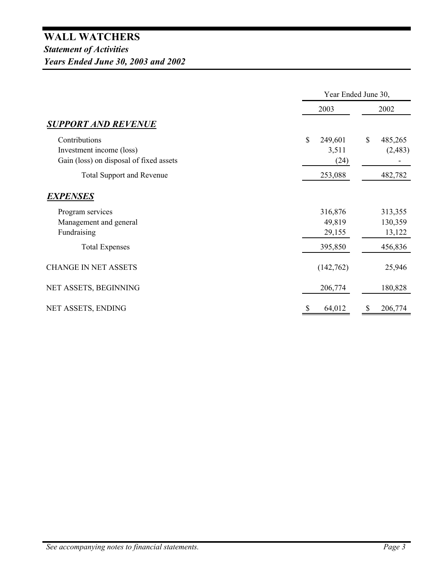|                                                                                      | Year Ended June 30,            |                          |  |
|--------------------------------------------------------------------------------------|--------------------------------|--------------------------|--|
|                                                                                      | 2003                           | 2002                     |  |
| <b>SUPPORT AND REVENUE</b>                                                           |                                |                          |  |
| Contributions<br>Investment income (loss)<br>Gain (loss) on disposal of fixed assets | \$<br>249,601<br>3,511<br>(24) | \$<br>485,265<br>(2,483) |  |
| <b>Total Support and Revenue</b>                                                     | 253,088                        | 482,782                  |  |
| EXPENSES                                                                             |                                |                          |  |
| Program services<br>Management and general                                           | 316,876<br>49,819              | 313,355<br>130,359       |  |
| Fundraising                                                                          | 29,155                         | 13,122                   |  |
| <b>Total Expenses</b>                                                                | 395,850                        | 456,836                  |  |
| <b>CHANGE IN NET ASSETS</b>                                                          | (142,762)                      | 25,946                   |  |
| NET ASSETS, BEGINNING                                                                | 206,774                        | 180,828                  |  |
| NET ASSETS, ENDING                                                                   | 64,012                         | 206,774<br>\$            |  |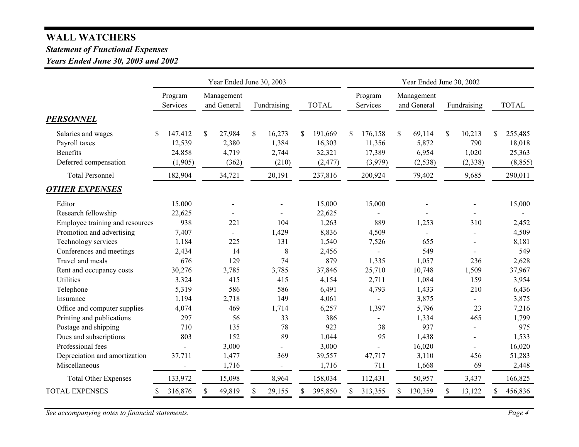# **WALL WATCHERS**

### *Statement of Functional Expenses*

## *Years Ended June 30, 2003 and 2002*

|                                                                          | Year Ended June 30, 2003                     |                                         |                                         | Year Ended June 30, 2002                      |                                                        |                                            |                                          |                                                |
|--------------------------------------------------------------------------|----------------------------------------------|-----------------------------------------|-----------------------------------------|-----------------------------------------------|--------------------------------------------------------|--------------------------------------------|------------------------------------------|------------------------------------------------|
|                                                                          | Program<br>Services                          | Management<br>and General               | Fundraising                             | <b>TOTAL</b>                                  | Program<br>Services                                    | Management<br>and General                  | Fundraising                              | <b>TOTAL</b>                                   |
| <b>PERSONNEL</b>                                                         |                                              |                                         |                                         |                                               |                                                        |                                            |                                          |                                                |
| Salaries and wages<br>Payroll taxes<br>Benefits<br>Deferred compensation | 147,412<br>\$<br>12,539<br>24,858<br>(1,905) | \$<br>27,984<br>2,380<br>4,719<br>(362) | \$<br>16,273<br>1,384<br>2,744<br>(210) | 191,669<br>\$<br>16,303<br>32,321<br>(2, 477) | $\mathbb{S}$<br>176,158<br>11,356<br>17,389<br>(3,979) | \$<br>69,114<br>5,872<br>6,954<br>(2, 538) | \$<br>10,213<br>790<br>1,020<br>(2, 338) | 255,485<br>\$.<br>18,018<br>25,363<br>(8, 855) |
| <b>Total Personnel</b>                                                   | 182,904                                      | 34,721                                  | 20,191                                  | 237,816                                       | 200,924                                                | 79,402                                     | 9,685                                    | 290,011                                        |
| <b>OTHER EXPENSES</b>                                                    |                                              |                                         |                                         |                                               |                                                        |                                            |                                          |                                                |
| Editor                                                                   | 15,000                                       |                                         |                                         | 15,000                                        | 15,000                                                 |                                            |                                          | 15,000                                         |
| Research fellowship                                                      | 22,625                                       | $\blacksquare$                          |                                         | 22,625                                        | $\overline{\phantom{0}}$                               |                                            |                                          |                                                |
| Employee training and resources                                          | 938                                          | 221                                     | 104                                     | 1,263                                         | 889                                                    | 1,253                                      | 310                                      | 2,452                                          |
| Promotion and advertising                                                | 7,407                                        | $\overline{\phantom{0}}$                | 1,429                                   | 8,836                                         | 4,509                                                  | $\blacksquare$                             |                                          | 4,509                                          |
| Technology services                                                      | 1,184                                        | 225                                     | 131                                     | 1,540                                         | 7,526                                                  | 655                                        |                                          | 8,181                                          |
| Conferences and meetings                                                 | 2,434                                        | 14                                      | $8\,$                                   | 2,456                                         |                                                        | 549                                        |                                          | 549                                            |
| Travel and meals                                                         | 676                                          | 129                                     | 74                                      | 879                                           | 1,335                                                  | 1,057                                      | 236                                      | 2,628                                          |
| Rent and occupancy costs                                                 | 30,276                                       | 3,785                                   | 3,785                                   | 37,846                                        | 25,710                                                 | 10,748                                     | 1,509                                    | 37,967                                         |
| Utilities                                                                | 3,324                                        | 415                                     | 415                                     | 4,154                                         | 2,711                                                  | 1,084                                      | 159                                      | 3,954                                          |
| Telephone                                                                | 5,319                                        | 586                                     | 586                                     | 6,491                                         | 4,793                                                  | 1,433                                      | 210                                      | 6,436                                          |
| Insurance                                                                | 1,194                                        | 2,718                                   | 149                                     | 4,061                                         | $\overline{\phantom{a}}$                               | 3,875                                      |                                          | 3,875                                          |
| Office and computer supplies                                             | 4,074                                        | 469                                     | 1,714                                   | 6,257                                         | 1,397                                                  | 5,796                                      | 23                                       | 7,216                                          |
| Printing and publications                                                | 297                                          | 56                                      | 33                                      | 386                                           | $\overline{a}$                                         | 1,334                                      | 465                                      | 1,799                                          |
| Postage and shipping                                                     | 710                                          | 135                                     | 78                                      | 923                                           | 38                                                     | 937                                        | $\blacksquare$                           | 975                                            |
| Dues and subscriptions                                                   | 803                                          | 152                                     | 89                                      | 1,044                                         | 95                                                     | 1,438                                      |                                          | 1,533                                          |
| Professional fees                                                        |                                              | 3,000                                   |                                         | 3,000                                         | $\overline{a}$                                         | 16,020                                     |                                          | 16,020                                         |
| Depreciation and amortization                                            | 37,711                                       | 1,477                                   | 369                                     | 39,557                                        | 47,717                                                 | 3,110                                      | 456                                      | 51,283                                         |
| Miscellaneous                                                            |                                              | 1,716                                   | $\blacksquare$                          | 1,716                                         | 711                                                    | 1,668                                      | 69                                       | 2,448                                          |
| <b>Total Other Expenses</b>                                              | 133,972                                      | 15,098                                  | 8,964                                   | 158,034                                       | 112,431                                                | 50,957                                     | 3,437                                    | 166,825                                        |
| <b>TOTAL EXPENSES</b>                                                    | 316,876<br>\$                                | 49,819<br>\$                            | \$<br>29,155                            | 395,850<br>\$                                 | 313,355                                                | 130,359<br>S.                              | 13,122<br>\$                             | \$<br>456,836                                  |

*See accompanying notes to financial statements. Page 4*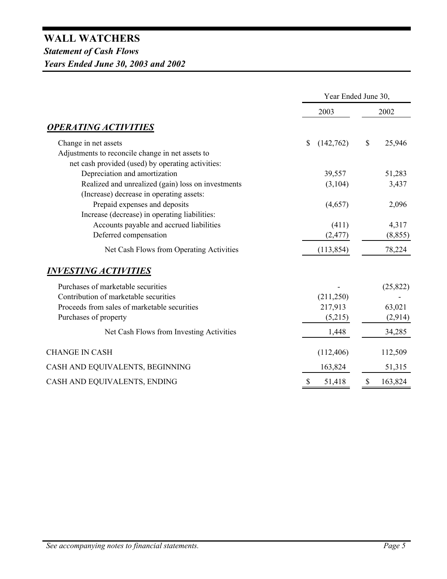|                                                                                                       | Year Ended June 30,       |               |  |
|-------------------------------------------------------------------------------------------------------|---------------------------|---------------|--|
|                                                                                                       | 2003                      | 2002          |  |
| <u>OPERATING ACTIVITIES</u>                                                                           |                           |               |  |
| Change in net assets                                                                                  | $\mathbb{S}$<br>(142,762) | \$<br>25,946  |  |
| Adjustments to reconcile change in net assets to<br>net cash provided (used) by operating activities: |                           |               |  |
| Depreciation and amortization                                                                         | 39,557                    | 51,283        |  |
| Realized and unrealized (gain) loss on investments                                                    | (3,104)                   | 3,437         |  |
| (Increase) decrease in operating assets:                                                              |                           |               |  |
| Prepaid expenses and deposits                                                                         | (4,657)                   | 2,096         |  |
| Increase (decrease) in operating liabilities:                                                         |                           |               |  |
| Accounts payable and accrued liabilities                                                              | (411)                     | 4,317         |  |
| Deferred compensation                                                                                 | (2, 477)                  | (8, 855)      |  |
| Net Cash Flows from Operating Activities                                                              | (113, 854)                | 78,224        |  |
| <u>INVESTING ACTIVITIES</u>                                                                           |                           |               |  |
| Purchases of marketable securities                                                                    |                           | (25, 822)     |  |
| Contribution of marketable securities                                                                 | (211,250)                 |               |  |
| Proceeds from sales of marketable securities                                                          | 217,913                   | 63,021        |  |
| Purchases of property                                                                                 | (5,215)                   | (2,914)       |  |
| Net Cash Flows from Investing Activities                                                              | 1,448                     | 34,285        |  |
| <b>CHANGE IN CASH</b>                                                                                 | (112, 406)                | 112,509       |  |
| CASH AND EQUIVALENTS, BEGINNING                                                                       | 163,824                   | 51,315        |  |
| CASH AND EQUIVALENTS, ENDING                                                                          | $\mathbb{S}$<br>51,418    | \$<br>163,824 |  |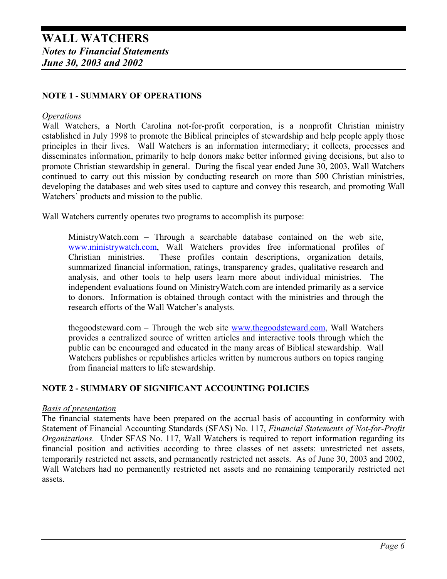### **NOTE 1 - SUMMARY OF OPERATIONS**

#### *Operations*

Wall Watchers, a North Carolina not-for-profit corporation, is a nonprofit Christian ministry established in July 1998 to promote the Biblical principles of stewardship and help people apply those principles in their lives. Wall Watchers is an information intermediary; it collects, processes and disseminates information, primarily to help donors make better informed giving decisions, but also to promote Christian stewardship in general. During the fiscal year ended June 30, 2003, Wall Watchers continued to carry out this mission by conducting research on more than 500 Christian ministries, developing the databases and web sites used to capture and convey this research, and promoting Wall Watchers' products and mission to the public.

Wall Watchers currently operates two programs to accomplish its purpose:

MinistryWatch.com – Through a searchable database contained on the web site, www.ministrywatch.com, Wall Watchers provides free informational profiles of Christian ministries. These profiles contain descriptions, organization details, summarized financial information, ratings, transparency grades, qualitative research and analysis, and other tools to help users learn more about individual ministries. The independent evaluations found on MinistryWatch.com are intended primarily as a service to donors. Information is obtained through contact with the ministries and through the research efforts of the Wall Watcher's analysts.

thegoodsteward.com – Through the web site www.thegoodsteward.com, Wall Watchers provides a centralized source of written articles and interactive tools through which the public can be encouraged and educated in the many areas of Biblical stewardship. Wall Watchers publishes or republishes articles written by numerous authors on topics ranging from financial matters to life stewardship.

#### **NOTE 2 - SUMMARY OF SIGNIFICANT ACCOUNTING POLICIES**

#### *Basis of presentation*

The financial statements have been prepared on the accrual basis of accounting in conformity with Statement of Financial Accounting Standards (SFAS) No. 117, *Financial Statements of Not-for-Profit Organizations.* Under SFAS No. 117, Wall Watchers is required to report information regarding its financial position and activities according to three classes of net assets: unrestricted net assets, temporarily restricted net assets, and permanently restricted net assets. As of June 30, 2003 and 2002, Wall Watchers had no permanently restricted net assets and no remaining temporarily restricted net assets.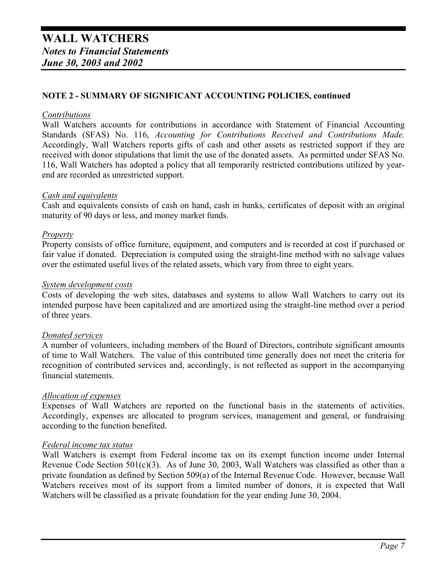#### **NOTE 2 - SUMMARY OF SIGNIFICANT ACCOUNTING POLICIES, continued**

#### *Contributions*

Wall Watchers accounts for contributions in accordance with Statement of Financial Accounting Standards (SFAS) No. 116, *Accounting for Contributions Received and Contributions Made.* Accordingly, Wall Watchers reports gifts of cash and other assets as restricted support if they are received with donor stipulations that limit the use of the donated assets. As permitted under SFAS No. 116, Wall Watchers has adopted a policy that all temporarily restricted contributions utilized by yearend are recorded as unrestricted support.

#### *Cash and equivalents*

Cash and equivalents consists of cash on hand, cash in banks, certificates of deposit with an original maturity of 90 days or less, and money market funds.

#### *Property*

Property consists of office furniture, equipment, and computers and is recorded at cost if purchased or fair value if donated. Depreciation is computed using the straight-line method with no salvage values over the estimated useful lives of the related assets, which vary from three to eight years.

#### *System development costs*

Costs of developing the web sites, databases and systems to allow Wall Watchers to carry out its intended purpose have been capitalized and are amortized using the straight-line method over a period of three years.

#### *Donated services*

A number of volunteers, including members of the Board of Directors, contribute significant amounts of time to Wall Watchers. The value of this contributed time generally does not meet the criteria for recognition of contributed services and, accordingly, is not reflected as support in the accompanying financial statements.

#### *Allocation of expenses*

Expenses of Wall Watchers are reported on the functional basis in the statements of activities. Accordingly, expenses are allocated to program services, management and general, or fundraising according to the function benefited.

#### *Federal income tax status*

Wall Watchers is exempt from Federal income tax on its exempt function income under Internal Revenue Code Section 501(c)(3). As of June 30, 2003, Wall Watchers was classified as other than a private foundation as defined by Section 509(a) of the Internal Revenue Code. However, because Wall Watchers receives most of its support from a limited number of donors, it is expected that Wall Watchers will be classified as a private foundation for the year ending June 30, 2004.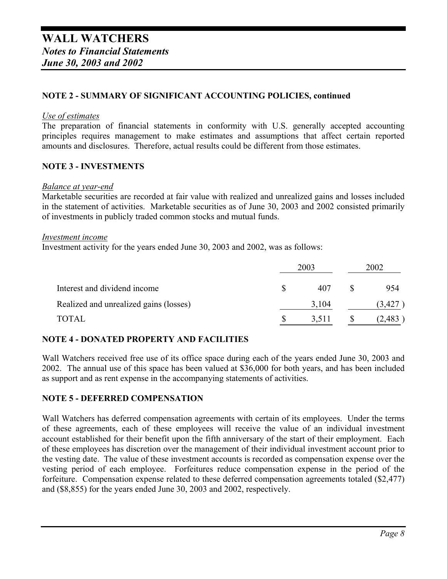#### **NOTE 2 - SUMMARY OF SIGNIFICANT ACCOUNTING POLICIES, continued**

#### *Use of estimates*

The preparation of financial statements in conformity with U.S. generally accepted accounting principles requires management to make estimates and assumptions that affect certain reported amounts and disclosures. Therefore, actual results could be different from those estimates.

#### **NOTE 3 - INVESTMENTS**

#### *Balance at year-end*

Marketable securities are recorded at fair value with realized and unrealized gains and losses included in the statement of activities. Marketable securities as of June 30, 2003 and 2002 consisted primarily of investments in publicly traded common stocks and mutual funds.

#### *Investment income*

Investment activity for the years ended June 30, 2003 and 2002, was as follows:

|                                        | 2003 | 2002  |  |        |
|----------------------------------------|------|-------|--|--------|
| Interest and dividend income           |      | 407   |  | 954    |
| Realized and unrealized gains (losses) |      | 3,104 |  | (3,427 |
| TOTAL                                  |      | 3,511 |  | 2,483  |

#### **NOTE 4 - DONATED PROPERTY AND FACILITIES**

Wall Watchers received free use of its office space during each of the years ended June 30, 2003 and 2002. The annual use of this space has been valued at \$36,000 for both years, and has been included as support and as rent expense in the accompanying statements of activities.

#### **NOTE 5 - DEFERRED COMPENSATION**

Wall Watchers has deferred compensation agreements with certain of its employees. Under the terms of these agreements, each of these employees will receive the value of an individual investment account established for their benefit upon the fifth anniversary of the start of their employment. Each of these employees has discretion over the management of their individual investment account prior to the vesting date. The value of these investment accounts is recorded as compensation expense over the vesting period of each employee. Forfeitures reduce compensation expense in the period of the forfeiture. Compensation expense related to these deferred compensation agreements totaled (\$2,477) and (\$8,855) for the years ended June 30, 2003 and 2002, respectively.